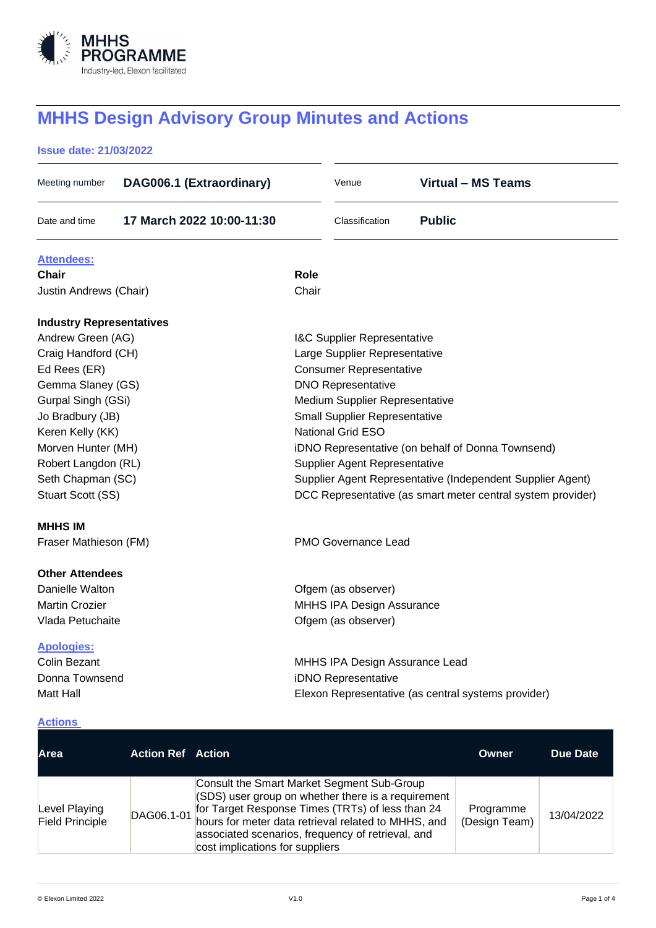

# **MHHS Design Advisory Group Minutes and Actions**

# **Issue date: 21/03/2022**

| DAG006.1 (Extraordinary)<br>Meeting number |       | Venue                                  | <b>Virtual - MS Teams</b>                                   |
|--------------------------------------------|-------|----------------------------------------|-------------------------------------------------------------|
| Date and time<br>17 March 2022 10:00-11:30 |       | Classification                         | <b>Public</b>                                               |
| <b>Attendees:</b>                          |       |                                        |                                                             |
| Chair                                      | Role  |                                        |                                                             |
| Justin Andrews (Chair)                     | Chair |                                        |                                                             |
| <b>Industry Representatives</b>            |       |                                        |                                                             |
| Andrew Green (AG)                          |       | <b>I&amp;C Supplier Representative</b> |                                                             |
| Craig Handford (CH)                        |       | Large Supplier Representative          |                                                             |
| Ed Rees (ER)                               |       | <b>Consumer Representative</b>         |                                                             |
| Gemma Slaney (GS)                          |       | <b>DNO Representative</b>              |                                                             |
| Gurpal Singh (GSi)                         |       | Medium Supplier Representative         |                                                             |
| Jo Bradbury (JB)                           |       | <b>Small Supplier Representative</b>   |                                                             |
| Keren Kelly (KK)                           |       | National Grid ESO                      |                                                             |
| Morven Hunter (MH)                         |       |                                        | iDNO Representative (on behalf of Donna Townsend)           |
| Robert Langdon (RL)                        |       | Supplier Agent Representative          |                                                             |
| Seth Chapman (SC)                          |       |                                        | Supplier Agent Representative (Independent Supplier Agent)  |
| Stuart Scott (SS)                          |       |                                        | DCC Representative (as smart meter central system provider) |
| <b>MHHS IM</b>                             |       |                                        |                                                             |
| Fraser Mathieson (FM)                      |       | <b>PMO Governance Lead</b>             |                                                             |
| <b>Other Attendees</b>                     |       |                                        |                                                             |
| Danielle Walton                            |       | Ofgem (as observer)                    |                                                             |
| <b>Martin Crozier</b>                      |       | MHHS IPA Design Assurance              |                                                             |
| Vlada Petuchaite                           |       | Ofgem (as observer)                    |                                                             |
| <b>Apologies:</b>                          |       |                                        |                                                             |
| <b>Colin Bezant</b>                        |       | MHHS IPA Design Assurance Lead         |                                                             |
| Donna Townsend                             |       | iDNO Representative                    |                                                             |
| <b>Matt Hall</b>                           |       |                                        | Elexon Representative (as central systems provider)         |
| Actions                                    |       |                                        |                                                             |

| Area                                    | <b>Action Ref</b> Action |                                                                                                                                                                                                                                                                                                     | Owner                      | Due Date   |
|-----------------------------------------|--------------------------|-----------------------------------------------------------------------------------------------------------------------------------------------------------------------------------------------------------------------------------------------------------------------------------------------------|----------------------------|------------|
| Level Playing<br><b>Field Principle</b> | DAG06.1-01               | Consult the Smart Market Segment Sub-Group<br>(SDS) user group on whether there is a requirement<br>for Target Response Times (TRTs) of less than 24<br>hours for meter data retrieval related to MHHS, and<br>associated scenarios, frequency of retrieval, and<br>cost implications for suppliers | Programme<br>(Design Team) | 13/04/2022 |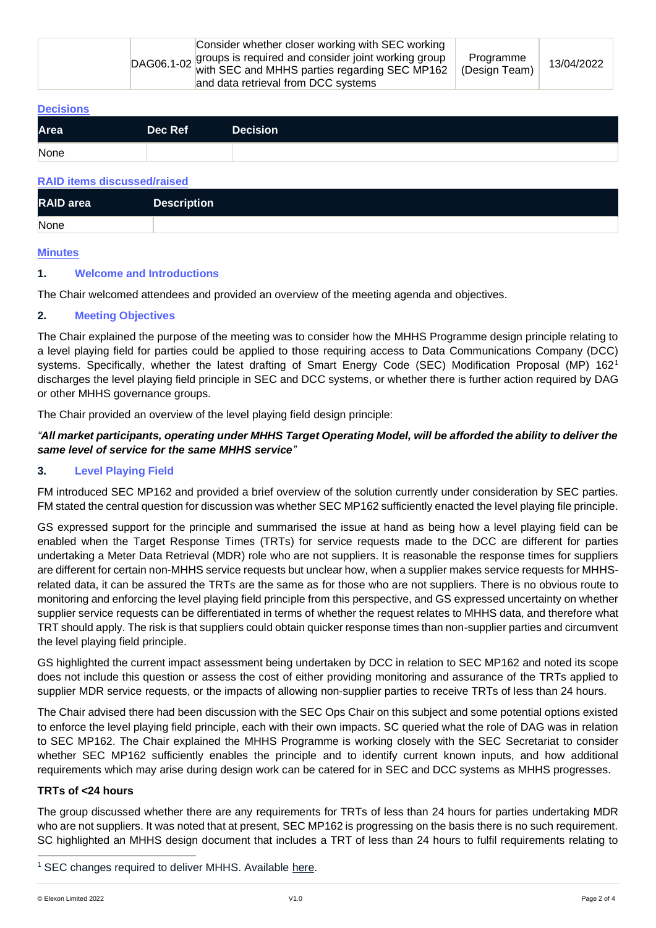| Consider whether closer working with SEC working<br>DAG06.1-02 groups is required and consider joint working group<br>with SEC and MHHS parties regarding SEC MP162<br>and data retrieval from DCC systems | Programme<br>(Design Team) | 13/04/2022 |
|------------------------------------------------------------------------------------------------------------------------------------------------------------------------------------------------------------|----------------------------|------------|
|------------------------------------------------------------------------------------------------------------------------------------------------------------------------------------------------------------|----------------------------|------------|

#### **Decisions**

| None | Area | Dec Ref | <b>Decision</b> |
|------|------|---------|-----------------|
|      |      |         |                 |

#### **RAID items discussed/raised**

| <b>RAID</b> area | <b>Description</b> |
|------------------|--------------------|
| None             |                    |

#### **Minutes**

#### **1. Welcome and Introductions**

The Chair welcomed attendees and provided an overview of the meeting agenda and objectives.

#### **2. Meeting Objectives**

The Chair explained the purpose of the meeting was to consider how the MHHS Programme design principle relating to a level playing field for parties could be applied to those requiring access to Data Communications Company (DCC) systems. Specifically, whether the latest drafting of Smart Energy Code (SEC) Modification Proposal (MP) 162<sup>1</sup> discharges the level playing field principle in SEC and DCC systems, or whether there is further action required by DAG or other MHHS governance groups.

The Chair provided an overview of the level playing field design principle:

### *"All market participants, operating under MHHS Target Operating Model, will be afforded the ability to deliver the same level of service for the same MHHS service"*

### **3. Level Playing Field**

FM introduced SEC MP162 and provided a brief overview of the solution currently under consideration by SEC parties. FM stated the central question for discussion was whether SEC MP162 sufficiently enacted the level playing file principle.

GS expressed support for the principle and summarised the issue at hand as being how a level playing field can be enabled when the Target Response Times (TRTs) for service requests made to the DCC are different for parties undertaking a Meter Data Retrieval (MDR) role who are not suppliers. It is reasonable the response times for suppliers are different for certain non-MHHS service requests but unclear how, when a supplier makes service requests for MHHSrelated data, it can be assured the TRTs are the same as for those who are not suppliers. There is no obvious route to monitoring and enforcing the level playing field principle from this perspective, and GS expressed uncertainty on whether supplier service requests can be differentiated in terms of whether the request relates to MHHS data, and therefore what TRT should apply. The risk is that suppliers could obtain quicker response times than non-supplier parties and circumvent the level playing field principle.

GS highlighted the current impact assessment being undertaken by DCC in relation to SEC MP162 and noted its scope does not include this question or assess the cost of either providing monitoring and assurance of the TRTs applied to supplier MDR service requests, or the impacts of allowing non-supplier parties to receive TRTs of less than 24 hours.

The Chair advised there had been discussion with the SEC Ops Chair on this subject and some potential options existed to enforce the level playing field principle, each with their own impacts. SC queried what the role of DAG was in relation to SEC MP162. The Chair explained the MHHS Programme is working closely with the SEC Secretariat to consider whether SEC MP162 sufficiently enables the principle and to identify current known inputs, and how additional requirements which may arise during design work can be catered for in SEC and DCC systems as MHHS progresses.

#### **TRTs of <24 hours**

The group discussed whether there are any requirements for TRTs of less than 24 hours for parties undertaking MDR who are not suppliers. It was noted that at present, SEC MP162 is progressing on the basis there is no such requirement. SC highlighted an MHHS design document that includes a TRT of less than 24 hours to fulfil requirements relating to

<sup>&</sup>lt;sup>1</sup> SEC changes required to deliver MHHS. Available [here.](https://smartenergycodecompany.co.uk/modifications/sec-changes-required-to-deliver-mhhs/)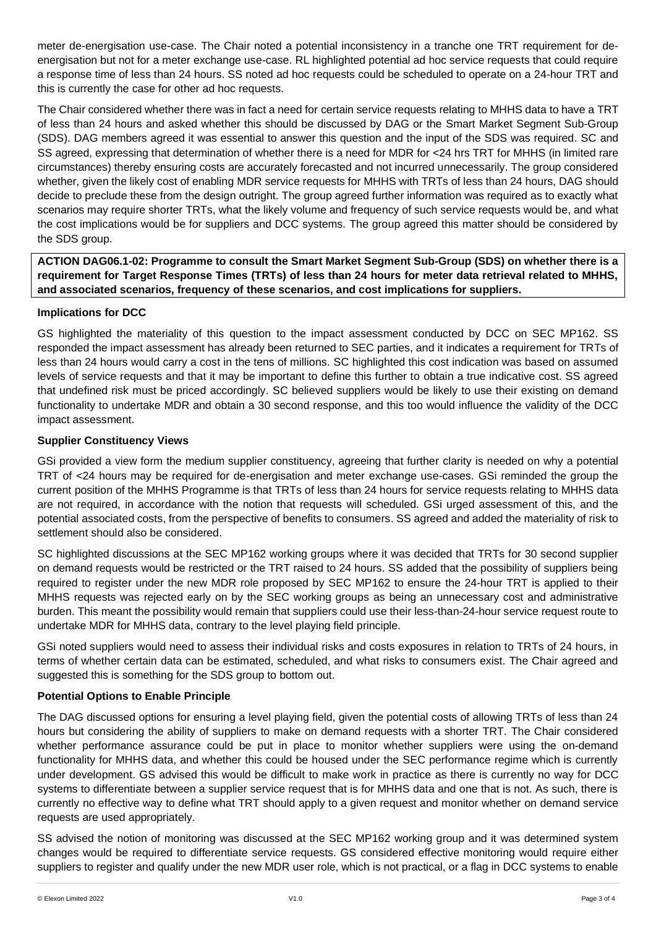meter de-energisation use-case. The Chair noted a potential inconsistency in a tranche one TRT requirement for deenergisation but not for a meter exchange use-case. RL highlighted potential ad hoc service requests that could require a response time of less than 24 hours. SS noted ad hoc requests could be scheduled to operate on a 24-hour TRT and this is currently the case for other ad hoc requests.

The Chair considered whether there was in fact a need for certain service requests relating to MHHS data to have a TRT of less than 24 hours and asked whether this should be discussed by DAG or the Smart Market Segment Sub-Group (SDS). DAG members agreed it was essential to answer this question and the input of the SDS was required. SC and SS agreed, expressing that determination of whether there is a need for MDR for <24 hrs TRT for MHHS (in limited rare circumstances) thereby ensuring costs are accurately forecasted and not incurred unnecessarily. The group considered whether, given the likely cost of enabling MDR service requests for MHHS with TRTs of less than 24 hours, DAG should decide to preclude these from the design outright. The group agreed further information was required as to exactly what scenarios may require shorter TRTs, what the likely volume and frequency of such service requests would be, and what the cost implications would be for suppliers and DCC systems. The group agreed this matter should be considered by the SDS group.

**ACTION DAG06.1-02: Programme to consult the Smart Market Segment Sub-Group (SDS) on whether there is a requirement for Target Response Times (TRTs) of less than 24 hours for meter data retrieval related to MHHS, and associated scenarios, frequency of these scenarios, and cost implications for suppliers.**

# **Implications for DCC**

GS highlighted the materiality of this question to the impact assessment conducted by DCC on SEC MP162. SS responded the impact assessment has already been returned to SEC parties, and it indicates a requirement for TRTs of less than 24 hours would carry a cost in the tens of millions. SC highlighted this cost indication was based on assumed levels of service requests and that it may be important to define this further to obtain a true indicative cost. SS agreed that undefined risk must be priced accordingly. SC believed suppliers would be likely to use their existing on demand functionality to undertake MDR and obtain a 30 second response, and this too would influence the validity of the DCC impact assessment.

# **Supplier Constituency Views**

GSi provided a view form the medium supplier constituency, agreeing that further clarity is needed on why a potential TRT of <24 hours may be required for de-energisation and meter exchange use-cases. GSi reminded the group the current position of the MHHS Programme is that TRTs of less than 24 hours for service requests relating to MHHS data are not required, in accordance with the notion that requests will scheduled. GSi urged assessment of this, and the potential associated costs, from the perspective of benefits to consumers. SS agreed and added the materiality of risk to settlement should also be considered.

SC highlighted discussions at the SEC MP162 working groups where it was decided that TRTs for 30 second supplier on demand requests would be restricted or the TRT raised to 24 hours. SS added that the possibility of suppliers being required to register under the new MDR role proposed by SEC MP162 to ensure the 24-hour TRT is applied to their MHHS requests was rejected early on by the SEC working groups as being an unnecessary cost and administrative burden. This meant the possibility would remain that suppliers could use their less-than-24-hour service request route to undertake MDR for MHHS data, contrary to the level playing field principle.

GSi noted suppliers would need to assess their individual risks and costs exposures in relation to TRTs of 24 hours, in terms of whether certain data can be estimated, scheduled, and what risks to consumers exist. The Chair agreed and suggested this is something for the SDS group to bottom out.

# **Potential Options to Enable Principle**

The DAG discussed options for ensuring a level playing field, given the potential costs of allowing TRTs of less than 24 hours but considering the ability of suppliers to make on demand requests with a shorter TRT. The Chair considered whether performance assurance could be put in place to monitor whether suppliers were using the on-demand functionality for MHHS data, and whether this could be housed under the SEC performance regime which is currently under development. GS advised this would be difficult to make work in practice as there is currently no way for DCC systems to differentiate between a supplier service request that is for MHHS data and one that is not. As such, there is currently no effective way to define what TRT should apply to a given request and monitor whether on demand service requests are used appropriately.

SS advised the notion of monitoring was discussed at the SEC MP162 working group and it was determined system changes would be required to differentiate service requests. GS considered effective monitoring would require either suppliers to register and qualify under the new MDR user role, which is not practical, or a flag in DCC systems to enable